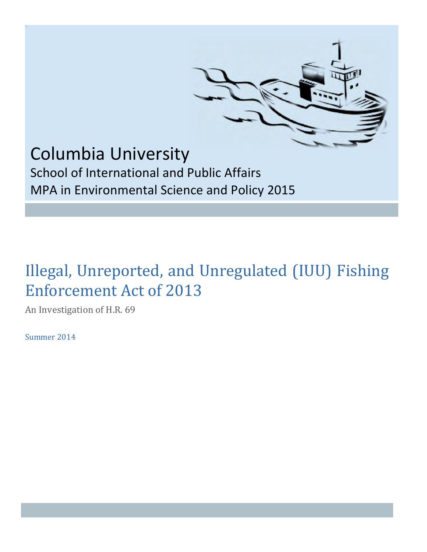

# Columbia University School of International and Public Affairs

MPA in Environmental Science and Policy 2015

# Illegal, Unreported, and Unregulated (IUU) Fishing Enforcement Act of 2013

An Investigation of H.R. 69

Summer 2014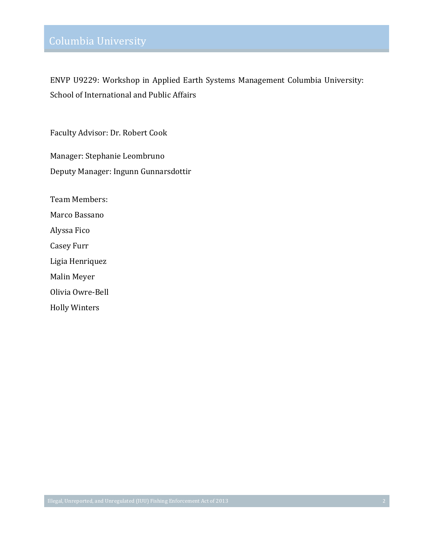ENVP U9229: Workshop in Applied Earth Systems Management Columbia University: School of International and Public Affairs

Faculty Advisor: Dr. Robert Cook

Manager: Stephanie Leombruno Deputy Manager: Ingunn Gunnarsdottir

Team!Members: Marco Bassano Alyssa Fico Casey Furr Ligia Henriquez Malin Meyer Olivia Owre-Bell Holly!Winters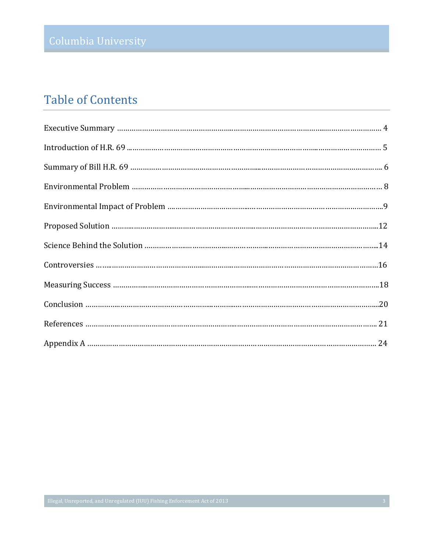## Table of Contents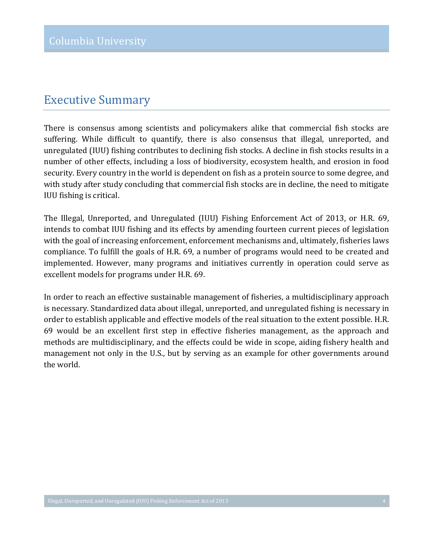### **Executive Summary**

There is consensus among scientists and policymakers alike that commercial fish stocks are suffering. While difficult to quantify, there is also consensus that illegal, unreported, and unregulated (IUU) fishing contributes to declining fish stocks. A decline in fish stocks results in a number of other effects, including a loss of biodiversity, ecosystem health, and erosion in food security. Every country in the world is dependent on fish as a protein source to some degree, and with study after study concluding that commercial fish stocks are in decline, the need to mitigate IUU fishing is critical.

The Illegal, Unreported, and Unregulated (IUU) Fishing Enforcement Act of 2013, or H.R. 69, intends to combat IUU fishing and its effects by amending fourteen current pieces of legislation with the goal of increasing enforcement, enforcement mechanisms and, ultimately, fisheries laws compliance. To fulfill the goals of H.R. 69, a number of programs would need to be created and implemented. However, many programs and initiatives currently in operation could serve as excellent models for programs under H.R. 69.

In order to reach an effective sustainable management of fisheries, a multidisciplinary approach is necessary. Standardized data about illegal, unreported, and unregulated fishing is necessary in order to establish applicable and effective models of the real situation to the extent possible. H.R. 69 would be an excellent first step in effective fisheries management, as the approach and methods are multidisciplinary, and the effects could be wide in scope, aiding fishery health and management not only in the U.S., but by serving as an example for other governments around the world.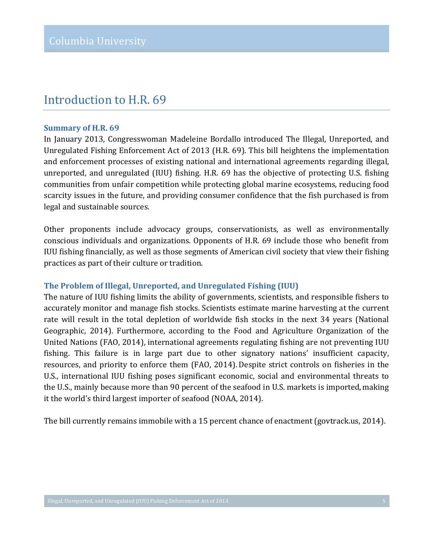### Introduction to H.R. 69

#### **Summary of H.R. 69**

In January 2013, Congresswoman Madeleine Bordallo introduced The Illegal, Unreported, and Unregulated Fishing Enforcement Act of 2013 (H.R. 69). This bill heightens the implementation and enforcement processes of existing national and international agreements regarding illegal, unreported, and unregulated (IUU) fishing. H.R. 69 has the objective of protecting U.S. fishing communities from unfair competition while protecting global marine ecosystems, reducing food scarcity issues in the future, and providing consumer confidence that the fish purchased is from legal and sustainable sources.

Other proponents include advocacy groups, conservationists, as well as environmentally conscious individuals and organizations. Opponents of H.R. 69 include those who benefit from IUU fishing financially, as well as those segments of American civil society that view their fishing practices as part of their culture or tradition.

#### **The'Problem'of'Illegal,'Unreported, and'Unregulated'Fishing'(IUU)**

The nature of IUU fishing limits the ability of governments, scientists, and responsible fishers to accurately monitor and manage fish stocks. Scientists estimate marine harvesting at the current rate will result in the total depletion of worldwide fish stocks in the next 34 years (National Geographic, 2014). Furthermore, according to the Food and Agriculture Organization of the United Nations (FAO, 2014), international agreements regulating fishing are not preventing IUU fishing. This failure is in large part due to other signatory nations' insufficient capacity, resources, and priority to enforce them (FAO, 2014). Despite strict controls on fisheries in the U.S., international IUU fishing poses significant economic, social and environmental threats to the U.S., mainly because more than 90 percent of the seafood in U.S. markets is imported, making it the world's third largest importer of seafood (NOAA, 2014).

The bill currently remains immobile with a 15 percent chance of enactment (govtrack.us, 2014).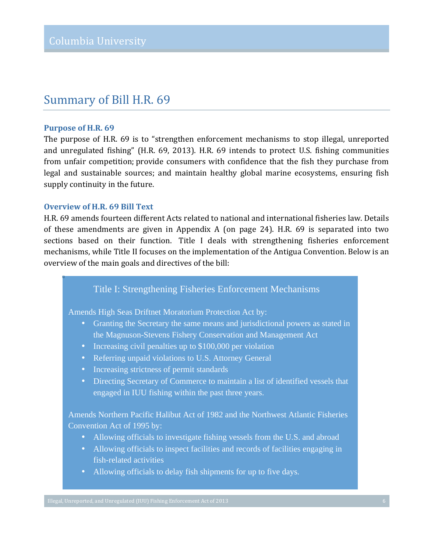### Summary of Bill H.R. 69

#### **Purpose of H.R. 69**

The purpose of H.R. 69 is to "strengthen enforcement mechanisms to stop illegal, unreported and unregulated fishing" (H.R. 69, 2013). H.R. 69 intends to protect U.S. fishing communities from unfair competition; provide consumers with confidence that the fish they purchase from legal and sustainable sources; and maintain healthy global marine ecosystems, ensuring fish supply continuity in the future.

#### **Overview of H.R. 69 Bill Text**

H.R. 69 amends fourteen different Acts related to national and international fisheries law. Details of these amendments are given in Appendix A (on page 24). H.R. 69 is separated into two sections based on their function. Title I deals with strengthening fisheries enforcement mechanisms, while Title II focuses on the implementation of the Antigua Convention. Below is an overview of the main goals and directives of the bill:

#### Title I: Strengthening Fisheries Enforcement Mechanisms

Amends High Seas Driftnet Moratorium Protection Act by:

- Granting the Secretary the same means and jurisdictional powers as stated in the Magnuson-Stevens Fishery Conservation and Management Act
- Increasing civil penalties up to \$100,000 per violation
- Referring unpaid violations to U.S. Attorney General
- Increasing strictness of permit standards
- Directing Secretary of Commerce to maintain a list of identified vessels that engaged in IUU fishing within the past three years.

Amends Northern Pacific Halibut Act of 1982 and the Northwest Atlantic Fisheries Convention Act of 1995 by:

- Allowing officials to investigate fishing vessels from the U.S. and abroad
- Allowing officials to inspect facilities and records of facilities engaging in fish-related activities
- Allowing officials to delay fish shipments for up to five days.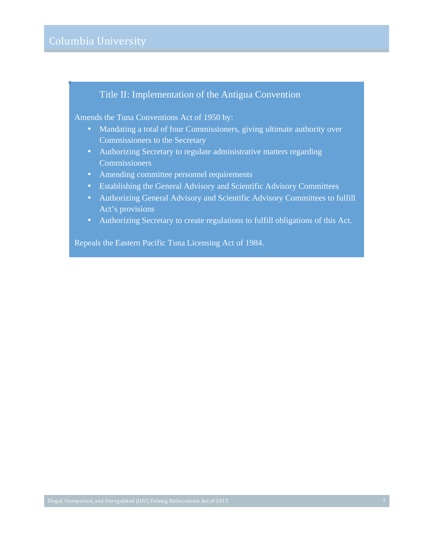#### Title II: Implementation of the Antigua Convention

Amends the Tuna Conventions Act of 1950 by:

- Mandating a total of four Commissioners, giving ultimate authority over Commissioners to the Secretary
- Authorizing Secretary to regulate administrative matters regarding **Commissioners**
- Amending committee personnel requirements
- Establishing the General Advisory and Scientific Advisory Committees
- Authorizing General Advisory and Scientific Advisory Committees to fulfill Act's provisions
- Authorizing Secretary to create regulations to fulfill obligations of this Act.

Repeals the Eastern Pacific Tuna Licensing Act of 1984.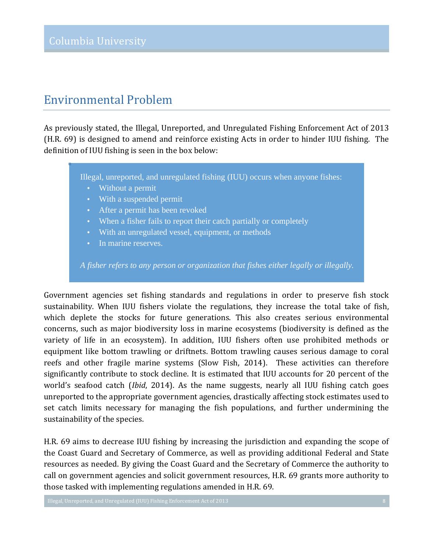## Environmental!Problem!

As previously stated, the Illegal, Unreported, and Unregulated Fishing Enforcement Act of 2013 (H.R. 69) is designed to amend and reinforce existing Acts in order to hinder IUU fishing. The definition of IUU fishing is seen in the box below:

Illegal, unreported, and unregulated fishing (IUU) occurs when anyone fishes:

- Without a permit
- With a suspended permit
- After a permit has been revoked
- When a fisher fails to report their catch partially or completely
- With an unregulated vessel, equipment, or methods
- In marine reserves.

*A fisher refers to any person or organization that fishes either legally or illegally.*

Government agencies set fishing standards and regulations in order to preserve fish stock sustainability. When IUU fishers violate the regulations, they increase the total take of fish, which deplete the stocks for future generations. This also creates serious environmental concerns, such as major biodiversity loss in marine ecosystems (biodiversity is defined as the variety of life in an ecosystem). In addition, IUU fishers often use prohibited methods or equipment like bottom trawling or driftnets. Bottom trawling causes serious damage to coral reefs and other fragile marine systems (Slow Fish, 2014). These activities can therefore significantly contribute to stock decline. It is estimated that IUU accounts for 20 percent of the world's seafood catch *(Ibid, 2014).* As the name suggests, nearly all IUU fishing catch goes unreported to the appropriate government agencies, drastically affecting stock estimates used to set catch limits necessary for managing the fish populations, and further undermining the sustainability of the species.

H.R. 69 aims to decrease IUU fishing by increasing the jurisdiction and expanding the scope of the Coast Guard and Secretary of Commerce, as well as providing additional Federal and State resources as needed. By giving the Coast Guard and the Secretary of Commerce the authority to call on government agencies and solicit government resources, H.R. 69 grants more authority to those tasked with implementing regulations amended in H.R. 69.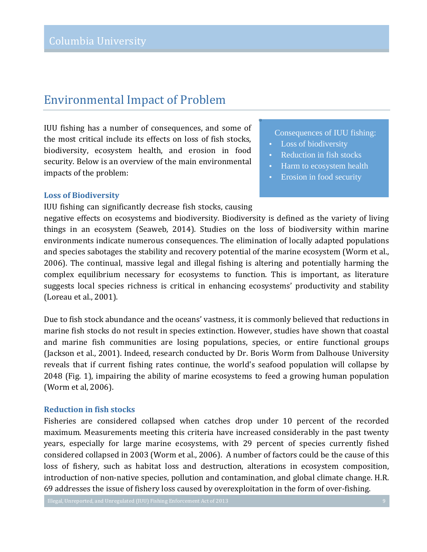## Environmental Impact of Problem

IUU fishing has a number of consequences, and some of the most critical include its effects on loss of fish stocks, biodiversity, ecosystem health, and erosion in food security. Below is an overview of the main environmental impacts of the problem:

#### **Loss of Biodiversity**

IUU fishing can significantly decrease fish stocks, causing

#### Consequences of IUU fishing:

- Loss of biodiversity
- Reduction in fish stocks
- Harm to ecosystem health
- Erosion in food security

negative effects on ecosystems and biodiversity. Biodiversity is defined as the variety of living things in an ecosystem (Seaweb, 2014). Studies on the loss of biodiversity within marine environments indicate numerous consequences. The elimination of locally adapted populations and species sabotages the stability and recovery potential of the marine ecosystem (Worm et al., 2006). The continual, massive legal and illegal fishing is altering and potentially harming the complex equilibrium necessary for ecosystems to function. This is important, as literature suggests local species richness is critical in enhancing ecosystems' productivity and stability (Loreau et al., 2001).

Due to fish stock abundance and the oceans' vastness, it is commonly believed that reductions in marine fish stocks do not result in species extinction. However, studies have shown that coastal and marine fish communities are losing populations, species, or entire functional groups (Jackson et al., 2001). Indeed, research conducted by Dr. Boris Worm from Dalhouse University reveals that if current fishing rates continue, the world's seafood population will collapse by 2048 (Fig. 1), impairing the ability of marine ecosystems to feed a growing human population (Worm et al, 2006).

#### **Reduction in fish stocks**

Fisheries are considered collapsed when catches drop under 10 percent of the recorded maximum. Measurements meeting this criteria have increased considerably in the past twenty years, especially for large marine ecosystems, with 29 percent of species currently fished considered collapsed in 2003 (Worm et al., 2006). A number of factors could be the cause of this loss of fishery, such as habitat loss and destruction, alterations in ecosystem composition, introduction of non-native species, pollution and contamination, and global climate change. H.R. 69 addresses the issue of fishery loss caused by overexploitation in the form of over-fishing.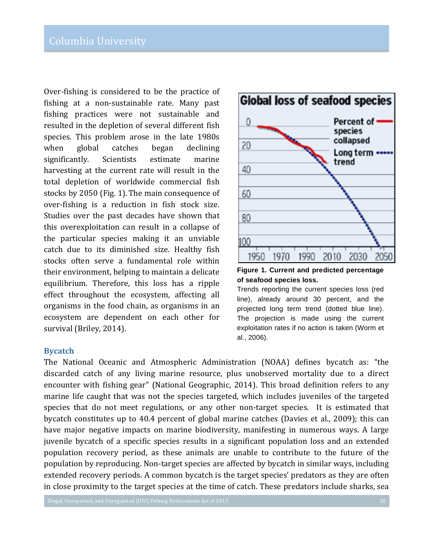Over-fishing is considered to be the practice of fishing at a non-sustainable rate. Many past fishing practices were not sustainable and resulted in the depletion of several different fish species. This problem arose in the late 1980s when global catches began declining significantly. Scientists estimate marine harvesting at the current rate will result in the total depletion of worldwide commercial fish stocks by 2050 (Fig. 1). The main consequence of over-fishing is a reduction in fish stock size. Studies over the past decades have shown that this overexploitation can result in a collapse of the particular species making it an unviable catch due to its diminished size. Healthy fish stocks often serve a fundamental role within their environment, helping to maintain a delicate equilibrium. Therefore, this loss has a ripple effect throughout the ecosystem, affecting all organisms in the food chain, as organisms in an ecosystem are dependent on each other for survival (Briley, 2014).

#### **Bycatch**

The National Oceanic and Atmospheric Administration (NOAA) defines bycatch as: "the discarded catch of any living marine resource, plus unobserved mortality due to a direct encounter with fishing gear" (National Geographic, 2014). This broad definition refers to any marine life caught that was not the species targeted, which includes juveniles of the targeted species that do not meet regulations, or any other non-target species. It is estimated that bycatch constitutes up to 40.4 percent of global marine catches (Davies et al., 2009); this can have major negative impacts on marine biodiversity, manifesting in numerous ways. A large juvenile bycatch of a specific species results in a significant population loss and an extended population recovery period, as these animals are unable to contribute to the future of the population by reproducing. Non-target species are affected by bycatch in similar ways, including extended recovery periods. A common bycatch is the target species' predators as they are often in close proximity to the target species at the time of catch. These predators include sharks, sea





Trends reporting the current species loss (red line), already around 30 percent, and the projected long term trend (dotted blue line). The projection is made using the current exploitation rates if no action is taken (Worm et al., 2006).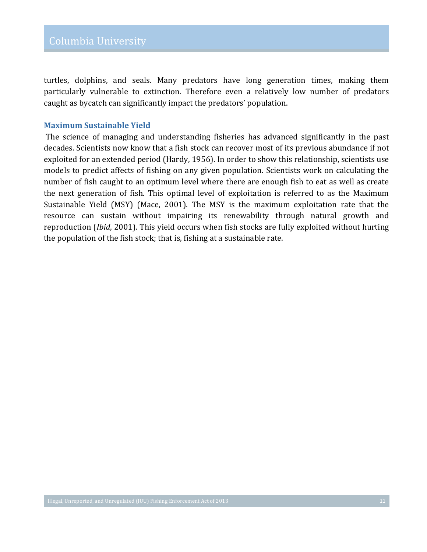turtles, dolphins, and seals. Many predators have long generation times, making them particularly vulnerable to extinction. Therefore even a relatively low number of predators caught as bycatch can significantly impact the predators' population.

#### **Maximum'Sustainable'Yield**

The science of managing and understanding fisheries has advanced significantly in the past decades. Scientists now know that a fish stock can recover most of its previous abundance if not exploited for an extended period (Hardy, 1956). In order to show this relationship, scientists use models to predict affects of fishing on any given population. Scientists work on calculating the number of fish caught to an optimum level where there are enough fish to eat as well as create the next generation of fish. This optimal level of exploitation is referred to as the Maximum Sustainable Yield (MSY) (Mace, 2001). The MSY is the maximum exploitation rate that the resource can sustain without impairing its renewability through natural growth and reproduction (*Ibid*, 2001). This yield occurs when fish stocks are fully exploited without hurting the population of the fish stock; that is, fishing at a sustainable rate.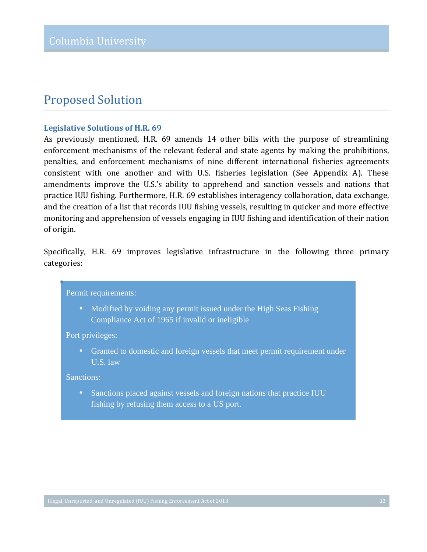### **Proposed Solution**

#### Legislative Solutions of H.R. 69

As previously mentioned, H.R. 69 amends 14 other bills with the purpose of streamlining enforcement mechanisms of the relevant federal and state agents by making the prohibitions, penalties, and enforcement mechanisms of nine different international fisheries agreements consistent with one another and with U.S. fisheries legislation (See Appendix A). These amendments improve the U.S.'s ability to apprehend and sanction vessels and nations that practice IUU fishing. Furthermore, H.R. 69 establishes interagency collaboration, data exchange, and the creation of a list that records IUU fishing vessels, resulting in quicker and more effective monitoring and apprehension of vessels engaging in IUU fishing and identification of their nation of origin.

Specifically, H.R. 69 improves legislative infrastructure in the following three primary categories:

#### Permit requirements:

• Modified by voiding any permit issued under the High Seas Fishing Compliance Act of 1965 if invalid or ineligible

Port privileges:

• Granted to domestic and foreign vessels that meet permit requirement under U.S. law

Sanctions:

• Sanctions placed against vessels and foreign nations that practice IUU fishing by refusing them access to a US port.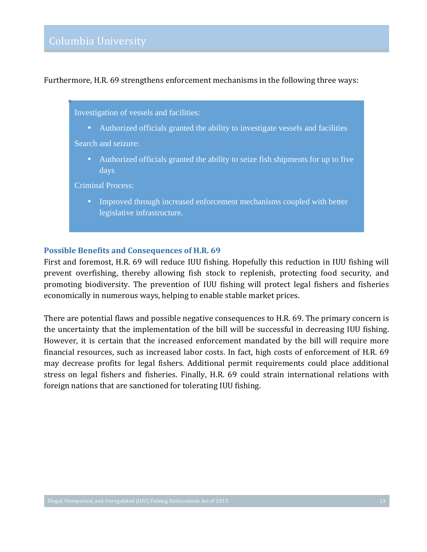Furthermore, H.R. 69 strengthens enforcement mechanisms in the following three ways:

Investigation of vessels and facilities:

• Authorized officials granted the ability to investigate vessels and facilities

Search and seizure:

• Authorized officials granted the ability to seize fish shipments for up to five days

Criminal Process:

• Improved through increased enforcement mechanisms coupled with better legislative infrastructure.

#### Possible Benefits and Consequences of H.R. 69

First and foremost, H.R. 69 will reduce IUU fishing. Hopefully this reduction in IUU fishing will prevent overfishing, thereby allowing fish stock to replenish, protecting food security, and promoting biodiversity. The prevention of IUU fishing will protect legal fishers and fisheries economically in numerous ways, helping to enable stable market prices.

There are potential flaws and possible negative consequences to H.R. 69. The primary concern is the uncertainty that the implementation of the bill will be successful in decreasing IUU fishing. However, it is certain that the increased enforcement mandated by the bill will require more financial resources, such as increased labor costs. In fact, high costs of enforcement of H.R. 69 may decrease profits for legal fishers. Additional permit requirements could place additional stress on legal fishers and fisheries. Finally, H.R. 69 could strain international relations with foreign nations that are sanctioned for tolerating IUU fishing.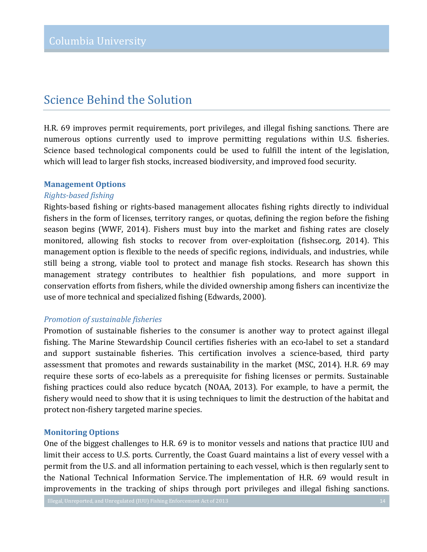## Science Behind the Solution

H.R. 69 improves permit requirements, port privileges, and illegal fishing sanctions. There are numerous options currently used to improve permitting regulations within U.S. fisheries. Science based technological components could be used to fulfill the intent of the legislation, which will lead to larger fish stocks, increased biodiversity, and improved food security.

#### **Management Options**

#### *Rights+based%fishing*

Rights-based fishing or rights-based management allocates fishing rights directly to individual fishers in the form of licenses, territory ranges, or quotas, defining the region before the fishing season begins (WWF, 2014). Fishers must buy into the market and fishing rates are closely monitored, allowing fish stocks to recover from over-exploitation (fishsec.org, 2014). This management option is flexible to the needs of specific regions, individuals, and industries, while still being a strong, viable tool to protect and manage fish stocks. Research has shown this management strategy contributes to healthier fish populations, and more support in conservation efforts from fishers, while the divided ownership among fishers can incentivize the use of more technical and specialized fishing (Edwards, 2000).

#### **Promotion of sustainable fisheries**

Promotion of sustainable fisheries to the consumer is another way to protect against illegal fishing. The Marine Stewardship Council certifies fisheries with an eco-label to set a standard and support sustainable fisheries. This certification involves a science-based, third party assessment that promotes and rewards sustainability in the market (MSC, 2014). H.R. 69 may require these sorts of eco-labels as a prerequisite for fishing licenses or permits. Sustainable fishing practices could also reduce bycatch (NOAA, 2013). For example, to have a permit, the fishery would need to show that it is using techniques to limit the destruction of the habitat and protect non-fishery targeted marine species.

#### **Monitoring'Options**

One of the biggest challenges to H.R. 69 is to monitor vessels and nations that practice IUU and limit their access to U.S. ports. Currently, the Coast Guard maintains a list of every vessel with a permit from the U.S. and all information pertaining to each vessel, which is then regularly sent to the National Technical Information Service. The implementation of H.R. 69 would result in improvements in the tracking of ships through port privileges and illegal fishing sanctions.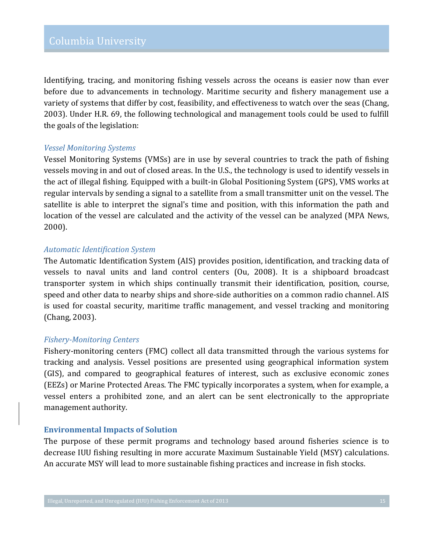Identifying, tracing, and monitoring fishing vessels across the oceans is easier now than ever before due to advancements in technology. Maritime security and fishery management use a variety of systems that differ by cost, feasibility, and effectiveness to watch over the seas (Chang, 2003). Under H.R. 69, the following technological and management tools could be used to fulfill the goals of the legislation:

#### *Vessel%Monitoring%Systems*

Vessel Monitoring Systems (VMSs) are in use by several countries to track the path of fishing vessels moving in and out of closed areas. In the U.S., the technology is used to identify vessels in the act of illegal fishing. Equipped with a built-in Global Positioning System (GPS), VMS works at regular intervals by sending a signal to a satellite from a small transmitter unit on the vessel. The satellite is able to interpret the signal's time and position, with this information the path and location of the vessel are calculated and the activity of the vessel can be analyzed (MPA News, 2000).

#### *Automatic%Identification%System*

The Automatic Identification System (AIS) provides position, identification, and tracking data of vessels to naval units and land control centers (Ou, 2008). It is a shipboard broadcast transporter system in which ships continually transmit their identification, position, course, speed and other data to nearby ships and shore-side authorities on a common radio channel. AIS is used for coastal security, maritime traffic management, and vessel tracking and monitoring (Chang, 2003).

#### *Fishery+Monitoring%Centers*

Fishery-monitoring centers (FMC) collect all data transmitted through the various systems for tracking and analysis. Vessel positions are presented using geographical information system (GIS), and compared to geographical features of interest, such as exclusive economic zones (EEZs) or Marine Protected Areas. The FMC typically incorporates a system, when for example, a vessel enters a prohibited zone, and an alert can be sent electronically to the appropriate management authority.

#### **Environmental'Impacts'of Solution'**

The purpose of these permit programs and technology based around fisheries science is to decrease IUU fishing resulting in more accurate Maximum Sustainable Yield (MSY) calculations. An accurate MSY will lead to more sustainable fishing practices and increase in fish stocks.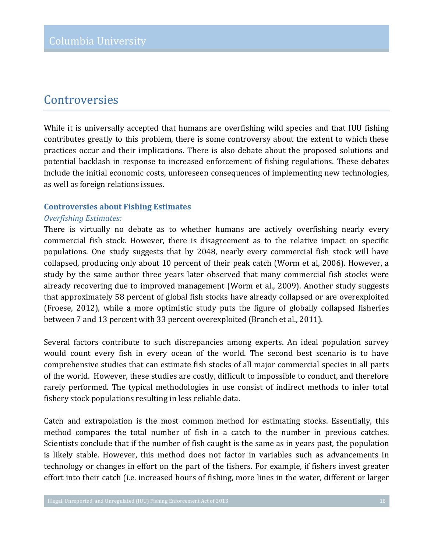### Controversies

While it is universally accepted that humans are overfishing wild species and that IUU fishing contributes greatly to this problem, there is some controversy about the extent to which these practices occur and their implications. There is also debate about the proposed solutions and potential backlash in response to increased enforcement of fishing regulations. These debates include the initial economic costs, unforeseen consequences of implementing new technologies, as well as foreign relations issues.

### **Controversies about Fishing Estimates**

#### *Overfishing%Estimates:*

There is virtually no debate as to whether humans are actively overfishing nearly every commercial fish stock. However, there is disagreement as to the relative impact on specific populations. One study suggests that by 2048, nearly every commercial fish stock will have collapsed, producing only about 10 percent of their peak catch (Worm et al, 2006). However, a study by the same author three years later observed that many commercial fish stocks were already recovering due to improved management (Worm et al., 2009). Another study suggests that approximately 58 percent of global fish stocks have already collapsed or are overexploited (Froese, 2012), while a more optimistic study puts the figure of globally collapsed fisheries between 7 and 13 percent with 33 percent overexploited (Branch et al., 2011).

Several factors contribute to such discrepancies among experts. An ideal population survey would count every fish in every ocean of the world. The second best scenario is to have comprehensive studies that can estimate fish stocks of all major commercial species in all parts of the world. However, these studies are costly, difficult to impossible to conduct, and therefore rarely performed. The typical methodologies in use consist of indirect methods to infer total fishery stock populations resulting in less reliable data.

Catch and extrapolation is the most common method for estimating stocks. Essentially, this method compares the total number of fish in a catch to the number in previous catches. Scientists conclude that if the number of fish caught is the same as in years past, the population is likely stable. However, this method does not factor in variables such as advancements in technology or changes in effort on the part of the fishers. For example, if fishers invest greater effort into their catch (i.e. increased hours of fishing, more lines in the water, different or larger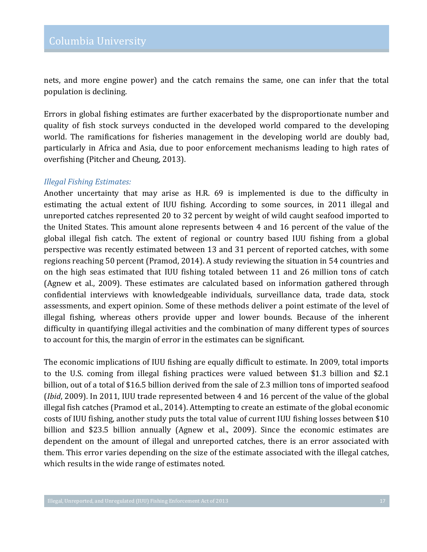nets, and more engine power) and the catch remains the same, one can infer that the total population is declining.

Errors in global fishing estimates are further exacerbated by the disproportionate number and quality of fish stock surveys conducted in the developed world compared to the developing world. The ramifications for fisheries management in the developing world are doubly bad, particularly in Africa and Asia, due to poor enforcement mechanisms leading to high rates of overfishing (Pitcher and Cheung, 2013).

#### *Illegal%Fishing Estimates:*

Another uncertainty that may arise as H.R. 69 is implemented is due to the difficulty in estimating the actual extent of IUU fishing. According to some sources, in 2011 illegal and unreported catches represented 20 to 32 percent by weight of wild caught seafood imported to the United States. This amount alone represents between 4 and 16 percent of the value of the global illegal fish catch. The extent of regional or country based IUU fishing from a global perspective was recently estimated between 13 and 31 percent of reported catches, with some regions reaching 50 percent (Pramod, 2014). A study reviewing the situation in 54 countries and on the high seas estimated that IUU fishing totaled between 11 and 26 million tons of catch (Agnew et al., 2009). These estimates are calculated based on information gathered through confidential interviews with knowledgeable individuals, surveillance data, trade data, stock assessments, and expert opinion. Some of these methods deliver a point estimate of the level of illegal fishing, whereas others provide upper and lower bounds. Because of the inherent difficulty in quantifying illegal activities and the combination of many different types of sources to account for this, the margin of error in the estimates can be significant.

The economic implications of IUU fishing are equally difficult to estimate. In 2009, total imports to the U.S. coming from illegal fishing practices were valued between \$1.3 billion and \$2.1 billion, out of a total of \$16.5 billion derived from the sale of 2.3 million tons of imported seafood *(Ibid, 2009).* In 2011, IUU trade represented between 4 and 16 percent of the value of the global illegal fish catches (Pramod et al., 2014). Attempting to create an estimate of the global economic costs of IUU fishing, another study puts the total value of current IUU fishing losses between \$10 billion and \$23.5 billion annually (Agnew et al., 2009). Since the economic estimates are dependent on the amount of illegal and unreported catches, there is an error associated with them. This error varies depending on the size of the estimate associated with the illegal catches, which results in the wide range of estimates noted.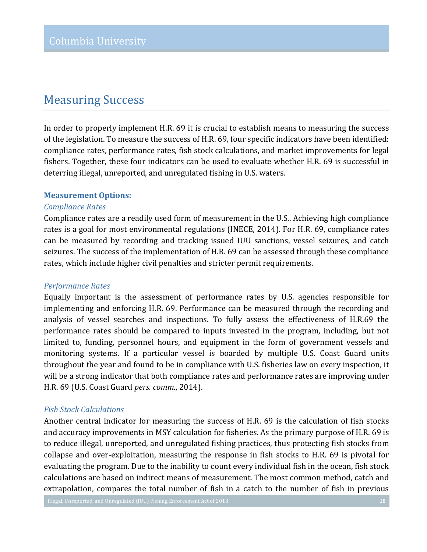### **Measuring Success**

In order to properly implement H.R. 69 it is crucial to establish means to measuring the success of the legislation. To measure the success of H.R. 69, four specific indicators have been identified: compliance rates, performance rates, fish stock calculations, and market improvements for legal fishers. Together, these four indicators can be used to evaluate whether H.R. 69 is successful in deterring illegal, unreported, and unregulated fishing in U.S. waters.

#### **Measurement Options:**

#### *Compliance%Rates*

Compliance rates are a readily used form of measurement in the U.S.. Achieving high compliance rates is a goal for most environmental regulations (INECE, 2014). For H.R. 69, compliance rates can be measured by recording and tracking issued IUU sanctions, vessel seizures, and catch seizures. The success of the implementation of H.R. 69 can be assessed through these compliance rates, which include higher civil penalties and stricter permit requirements.

#### *Performance%Rates*

Equally important is the assessment of performance rates by U.S. agencies responsible for implementing and enforcing H.R. 69. Performance can be measured through the recording and analysis of vessel searches and inspections. To fully assess the effectiveness of H.R.69 the performance rates should be compared to inputs invested in the program, including, but not limited to, funding, personnel hours, and equipment in the form of government vessels and monitoring systems. If a particular vessel is boarded by multiple U.S. Coast Guard units throughout the year and found to be in compliance with U.S. fisheries law on every inspection, it will be a strong indicator that both compliance rates and performance rates are improving under H.R. 69 (U.S. Coast Guard *pers. comm.*, 2014).

#### *Fish%Stock%Calculations*

Another central indicator for measuring the success of H.R. 69 is the calculation of fish stocks and accuracy improvements in MSY calculation for fisheries. As the primary purpose of H.R. 69 is to reduce illegal, unreported, and unregulated fishing practices, thus protecting fish stocks from collapse and over-exploitation, measuring the response in fish stocks to H.R. 69 is pivotal for evaluating the program. Due to the inability to count every individual fish in the ocean, fish stock calculations are based on indirect means of measurement. The most common method, catch and extrapolation, compares the total number of fish in a catch to the number of fish in previous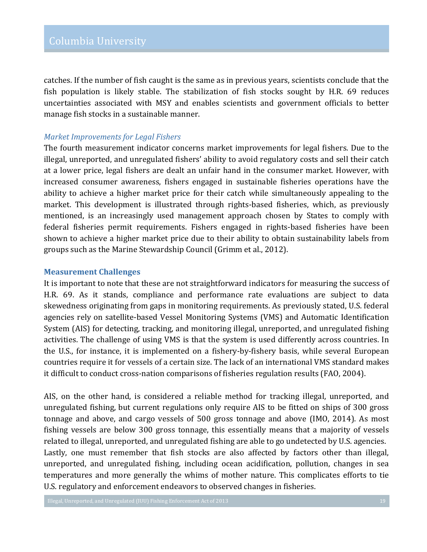catches. If the number of fish caught is the same as in previous years, scientists conclude that the fish population is likely stable. The stabilization of fish stocks sought by H.R. 69 reduces uncertainties associated with MSY and enables scientists and government officials to better manage fish stocks in a sustainable manner.

#### *Market%Improvements for%Legal%Fishers*

The fourth measurement indicator concerns market improvements for legal fishers. Due to the illegal, unreported, and unregulated fishers' ability to avoid regulatory costs and sell their catch at a lower price, legal fishers are dealt an unfair hand in the consumer market. However, with increased consumer awareness, fishers engaged in sustainable fisheries operations have the ability to achieve a higher market price for their catch while simultaneously appealing to the market. This development is illustrated through rights-based fisheries, which, as previously mentioned, is an increasingly used management approach chosen by States to comply with federal fisheries permit requirements. Fishers engaged in rights-based fisheries have been shown to achieve a higher market price due to their ability to obtain sustainability labels from groups such as the Marine Stewardship Council (Grimm et al., 2012).

#### **Measurement Challenges**

It is important to note that these are not straightforward indicators for measuring the success of H.R. 69. As it stands, compliance and performance rate evaluations are subject to data skewedness originating from gaps in monitoring requirements. As previously stated, U.S. federal agencies rely on satellite-based Vessel Monitoring Systems (VMS) and Automatic Identification System (AIS) for detecting, tracking, and monitoring illegal, unreported, and unregulated fishing activities. The challenge of using VMS is that the system is used differently across countries. In the U.S., for instance, it is implemented on a fishery-by-fishery basis, while several European countries require it for vessels of a certain size. The lack of an international VMS standard makes it difficult to conduct cross-nation comparisons of fisheries regulation results (FAO, 2004).

AIS, on the other hand, is considered a reliable method for tracking illegal, unreported, and unregulated fishing, but current regulations only require AIS to be fitted on ships of 300 gross tonnage and above, and cargo vessels of 500 gross tonnage and above (IMO, 2014). As most fishing vessels are below 300 gross tonnage, this essentially means that a majority of vessels related to illegal, unreported, and unregulated fishing are able to go undetected by U.S. agencies. Lastly, one must remember that fish stocks are also affected by factors other than illegal, unreported, and unregulated fishing, including ocean acidification, pollution, changes in sea temperatures and more generally the whims of mother nature. This complicates efforts to tie U.S. regulatory and enforcement endeavors to observed changes in fisheries.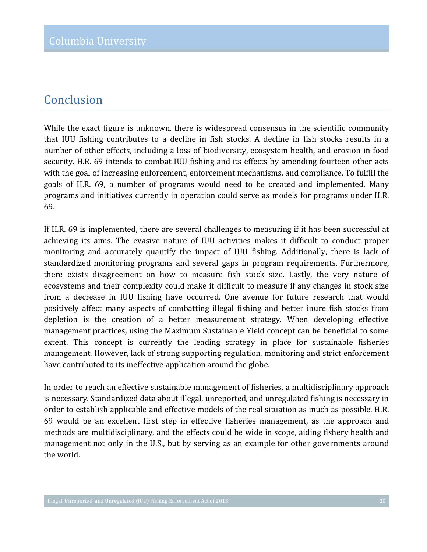### Conclusion

While the exact figure is unknown, there is widespread consensus in the scientific community that IUU fishing contributes to a decline in fish stocks. A decline in fish stocks results in a number of other effects, including a loss of biodiversity, ecosystem health, and erosion in food security. H.R. 69 intends to combat IUU fishing and its effects by amending fourteen other acts with the goal of increasing enforcement, enforcement mechanisms, and compliance. To fulfill the goals of H.R. 69, a number of programs would need to be created and implemented. Many programs and initiatives currently in operation could serve as models for programs under H.R. 69.

If H.R. 69 is implemented, there are several challenges to measuring if it has been successful at achieving its aims. The evasive nature of IUU activities makes it difficult to conduct proper monitoring and accurately quantify the impact of IUU fishing. Additionally, there is lack of standardized monitoring programs and several gaps in program requirements. Furthermore, there exists disagreement on how to measure fish stock size. Lastly, the very nature of ecosystems and their complexity could make it difficult to measure if any changes in stock size from a decrease in IUU fishing have occurred. One avenue for future research that would positively affect many aspects of combatting illegal fishing and better inure fish stocks from depletion is the creation of a better measurement strategy. When developing effective management practices, using the Maximum Sustainable Yield concept can be beneficial to some extent. This concept is currently the leading strategy in place for sustainable fisheries management. However, lack of strong supporting regulation, monitoring and strict enforcement have contributed to its ineffective application around the globe.

In order to reach an effective sustainable management of fisheries, a multidisciplinary approach is necessary. Standardized data about illegal, unreported, and unregulated fishing is necessary in order to establish applicable and effective models of the real situation as much as possible. H.R. 69 would be an excellent first step in effective fisheries management, as the approach and methods are multidisciplinary, and the effects could be wide in scope, aiding fishery health and management not only in the U.S., but by serving as an example for other governments around the world.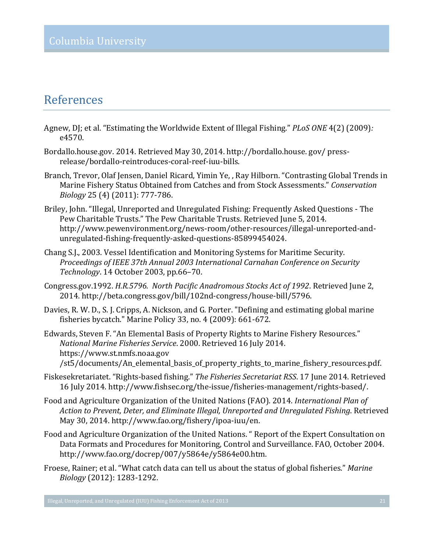## References

- Agnew, DJ; et al. "Estimating the Worldwide Extent of Illegal Fishing." *PLoS ONE* 4(2) (2009)*:* e4570.
- Bordallo.house.gov. 2014. Retrieved May 30, 2014. http://bordallo.house.gov/pressrelease/bordallo-reintroduces-coral-reef-iuu-bills.
- Branch, Trevor, Olaf Jensen, Daniel Ricard, Yimin Ye, , Ray Hilborn. "Contrasting Global Trends in Marine Fishery Status Obtained from Catches and from Stock Assessments." Conservation *Biology* 25 (4) (2011): 777-786.
- Briley, John. "Illegal, Unreported and Unregulated Fishing: Frequently Asked Questions The Pew Charitable Trusts." The Pew Charitable Trusts. Retrieved June 5, 2014. http://www.pewenvironment.org/news-room/other-resources/illegal-unreported-andunregulated-fishing-frequently-asked-questions-85899454024.
- Chang S.J., 2003. Vessel Identification and Monitoring Systems for Maritime Security. *Proceedings%of IEEE%37th%Annual%2003%International%Carnahan%Conference%on%Security% Technology*. 14 October 2003, pp.66-70.
- Congress.gov.1992. *H.R.5796. North Pacific Anadromous Stocks Act of 1992*. Retrieved June 2, 2014. http://beta.congress.gov/bill/102nd-congress/house-bill/5796.
- Davies, R. W. D., S. J. Cripps, A. Nickson, and G. Porter. "Defining and estimating global marine fisheries bycatch." Marine Policy 33, no. 4  $(2009)$ : 661-672.
- Edwards, Steven F. "An Elemental Basis of Property Rights to Marine Fishery Resources." *National Marine Fisheries Service.* 2000. Retrieved 16 July 2014. https://www.st.nmfs.noaa.gov /st5/documents/An\_elemental\_basis\_of\_property\_rights\_to\_marine\_fishery\_resources.pdf.
- Fiskesekretariatet. "Rights-based fishing." *The Fisheries Secretariat RSS*. 17 June 2014. Retrieved 16 July 2014. http://www.fishsec.org/the-issue/fisheries-management/rights-based/.
- Food and Agriculture Organization of the United Nations (FAO). 2014. *International Plan of Action%to%Prevent,%Deter,%and%Eliminate%Illegal,%Unreported%and%Unregulated%Fishing*.!Retrieved! May 30, 2014. http://www.fao.org/fishery/ipoa-iuu/en.
- Food and Agriculture Organization of the United Nations. " Report of the Expert Consultation on Data Formats and Procedures for Monitoring, Control and Surveillance. FAO, October 2004. http://www.fao.org/docrep/007/y5864e/y5864e00.htm.
- Froese, Rainer; et al. "What catch data can tell us about the status of global fisheries." *Marine Biology* (2012): 1283-1292.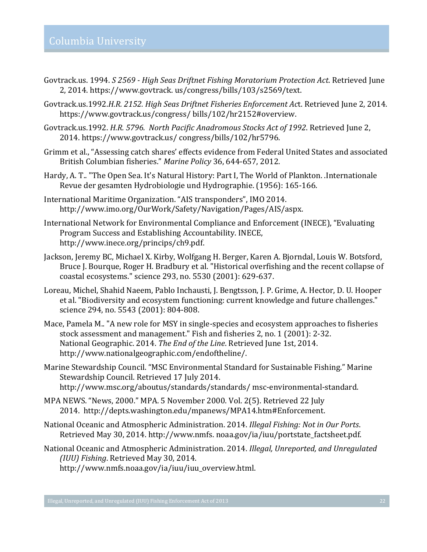- Govtrack.us. 1994. *S 2569 High Seas Driftnet Fishing Moratorium Protection Act*. Retrieved June 2, 2014. https://www.govtrack. us/congress/bills/103/s2569/text.
- Govtrack.us.1992.*H.R. 2152. High Seas Driftnet Fisheries Enforcement Act. Retrieved June 2, 2014.* https://www.govtrack.us/congress/ bills/102/hr2152#overview.
- Govtrack.us.1992. *H.R. 5796. North Pacific Anadromous Stocks Act of 1992*. Retrieved June 2, 2014. https://www.govtrack.us/ congress/bills/102/hr5796.
- Grimm et al., "Assessing catch shares' effects evidence from Federal United States and associated British Columbian fisheries." *Marine Policy* 36, 644-657, 2012.
- Hardy, A. T.. "The Open Sea. It's Natural History: Part I, The World of Plankton. .Internationale Revue der gesamten Hydrobiologie und Hydrographie. (1956): 165-166.
- International Maritime Organization. "AIS transponders", IMO 2014. http://www.imo.org/OurWork/Safety/Navigation/Pages/AIS/aspx.
- International Network for Environmental Compliance and Enforcement (INECE), "Evaluating Program Success and Establishing Accountability. INECE, http://www.inece.org/princips/ch9.pdf.
- Jackson, Jeremy BC, Michael X. Kirby, Wolfgang H. Berger, Karen A. Bjorndal, Louis W. Botsford, Bruce J. Bourque, Roger H. Bradbury et al. "Historical overfishing and the recent collapse of coastal ecosystems." science 293, no. 5530 (2001): 629-637.
- Loreau, Michel, Shahid Naeem, Pablo Inchausti, J. Bengtsson, J. P. Grime, A. Hector, D. U. Hooper et al. "Biodiversity and ecosystem functioning: current knowledge and future challenges." science 294, no. 5543 (2001): 804-808.
- Mace, Pamela M.. "A new role for MSY in single-species and ecosystem approaches to fisheries stock assessment and management." Fish and fisheries 2, no. 1 (2001): 2-32. National Geographic. 2014. *The End of the Line*. Retrieved June 1st, 2014. http://www.nationalgeographic.com/endoftheline/.
- Marine Stewardship Council. "MSC Environmental Standard for Sustainable Fishing." Marine Stewardship Council. Retrieved 17 July 2014. http://www.msc.org/aboutus/standards/standards/ msc-environmental-standard.
- MPA NEWS. "News, 2000." MPA. 5 November 2000. Vol. 2(5). Retrieved 22 July 2014. http://depts.washington.edu/mpanews/MPA14.htm#Enforcement.
- National Oceanic and Atmospheric Administration. 2014. *Illegal Fishing: Not in Our Ports.* Retrieved May 30, 2014. http://www.nmfs. noaa.gov/ia/iuu/portstate\_factsheet.pdf.
- National Oceanic and Atmospheric Administration. 2014. *Illegal, Unreported, and Unregulated (IUU) Fishing. Retrieved May 30, 2014.* http://www.nmfs.noaa.gov/ia/iuu/iuu\_overview.html.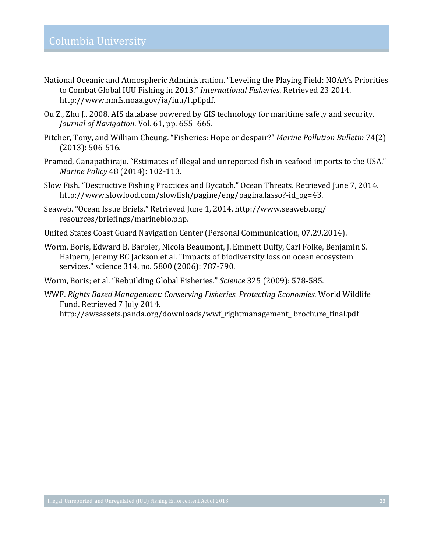- National Oceanic and Atmospheric Administration. "Leveling the Playing Field: NOAA's Priorities to Combat Global IUU Fishing in 2013." *International Fisheries*. Retrieved 23 2014. http://www.nmfs.noaa.gov/ia/iuu/ltpf.pdf.!
- Ou Z., Zhu J.. 2008. AIS database powered by GIS technology for maritime safety and security. *Journal of Navigation.* Vol. 61, pp. 655–665.
- Pitcher, Tony, and William Cheung. "Fisheries: Hope or despair?" *Marine Pollution Bulletin* 74(2)  $(2013): 506-516.$
- Pramod, Ganapathiraju. "Estimates of illegal and unreported fish in seafood imports to the USA." *Marine Policy* 48 (2014): 102-113.
- Slow Fish. "Destructive Fishing Practices and Bycatch." Ocean Threats. Retrieved June 7, 2014. http://www.slowfood.com/slowfish/pagine/eng/pagina.lasso?-id\_pg=43.
- Seaweb. "Ocean Issue Briefs." Retrieved June 1, 2014. http://www.seaweb.org/ resources/briefings/marinebio.php.
- United States Coast Guard Navigation Center (Personal Communication, 07.29.2014).
- Worm, Boris, Edward B. Barbier, Nicola Beaumont, J. Emmett Duffy, Carl Folke, Benjamin S. Halpern, Jeremy BC Jackson et al. "Impacts of biodiversity loss on ocean ecosystem services." science 314, no. 5800 (2006): 787-790.
- Worm, Boris; et al. "Rebuilding Global Fisheries." *Science* 325 (2009): 578-585.
- WWF. Rights Based Management: Conserving Fisheries. Protecting Economies. World Wildlife Fund. Retrieved 7 July 2014.

http://awsassets.panda.org/downloads/wwf\_rightmanagement\_!brochure\_final.pdf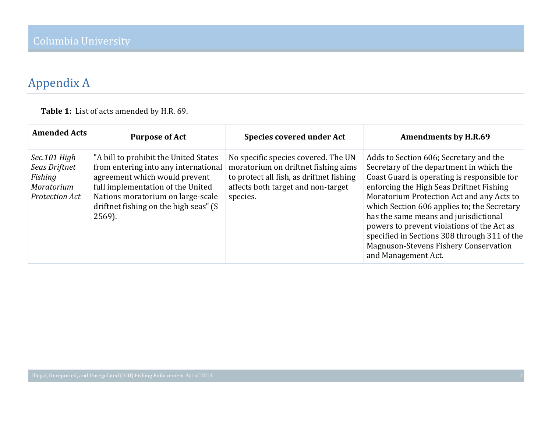## Appendix A

**Table 1:** List of acts amended by H.R. 69.

| <b>Amended Acts</b>                                                      | <b>Purpose of Act</b>                                                                                                                                                                                                                       | <b>Species covered under Act</b>                                                                                                                                         | <b>Amendments by H.R.69</b>                                                                                                                                                                                                                                                                                                                                                                                                                                                             |
|--------------------------------------------------------------------------|---------------------------------------------------------------------------------------------------------------------------------------------------------------------------------------------------------------------------------------------|--------------------------------------------------------------------------------------------------------------------------------------------------------------------------|-----------------------------------------------------------------------------------------------------------------------------------------------------------------------------------------------------------------------------------------------------------------------------------------------------------------------------------------------------------------------------------------------------------------------------------------------------------------------------------------|
| Sec.101 High<br>Seas Driftnet<br>Fishing<br>Moratorium<br>Protection Act | "A bill to prohibit the United States<br>from entering into any international<br>agreement which would prevent<br>full implementation of the United<br>Nations moratorium on large-scale<br>driftnet fishing on the high seas" (S<br>2569). | No specific species covered. The UN<br>moratorium on driftnet fishing aims<br>to protect all fish, as driftnet fishing<br>affects both target and non-target<br>species. | Adds to Section 606; Secretary and the<br>Secretary of the department in which the<br>Coast Guard is operating is responsible for<br>enforcing the High Seas Driftnet Fishing<br>Moratorium Protection Act and any Acts to<br>which Section 606 applies to; the Secretary<br>has the same means and jurisdictional<br>powers to prevent violations of the Act as<br>specified in Sections 308 through 311 of the<br><b>Magnuson-Stevens Fishery Conservation</b><br>and Management Act. |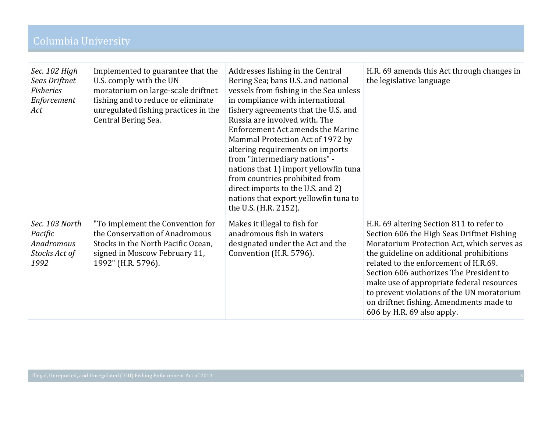| Sec. 102 High<br>Seas Driftnet<br><b>Fisheries</b><br>Enforcement<br>Act | Implemented to guarantee that the<br>U.S. comply with the UN<br>moratorium on large-scale driftnet<br>fishing and to reduce or eliminate<br>unregulated fishing practices in the<br>Central Bering Sea. | Addresses fishing in the Central<br>Bering Sea; bans U.S. and national<br>vessels from fishing in the Sea unless<br>in compliance with international<br>fishery agreements that the U.S. and<br>Russia are involved with. The<br>Enforcement Act amends the Marine<br>Mammal Protection Act of 1972 by<br>altering requirements on imports<br>from "intermediary nations" -<br>nations that 1) import yellowfin tuna<br>from countries prohibited from<br>direct imports to the U.S. and 2)<br>nations that export yellowfin tuna to<br>the U.S. (H.R. 2152). | H.R. 69 amends this Act through changes in<br>the legislative language                                                                                                                                                                                                                                                                                                                                                                   |
|--------------------------------------------------------------------------|---------------------------------------------------------------------------------------------------------------------------------------------------------------------------------------------------------|---------------------------------------------------------------------------------------------------------------------------------------------------------------------------------------------------------------------------------------------------------------------------------------------------------------------------------------------------------------------------------------------------------------------------------------------------------------------------------------------------------------------------------------------------------------|------------------------------------------------------------------------------------------------------------------------------------------------------------------------------------------------------------------------------------------------------------------------------------------------------------------------------------------------------------------------------------------------------------------------------------------|
| Sec. 103 North<br>Pacific<br>Anadromous<br>Stocks Act of<br>1992         | "To implement the Convention for<br>the Conservation of Anadromous<br>Stocks in the North Pacific Ocean,<br>signed in Moscow February 11,<br>1992" (H.R. 5796).                                         | Makes it illegal to fish for<br>anadromous fish in waters<br>designated under the Act and the<br>Convention (H.R. 5796).                                                                                                                                                                                                                                                                                                                                                                                                                                      | H.R. 69 altering Section 811 to refer to<br>Section 606 the High Seas Driftnet Fishing<br>Moratorium Protection Act, which serves as<br>the guideline on additional prohibitions<br>related to the enforcement of H.R.69.<br>Section 606 authorizes The President to<br>make use of appropriate federal resources<br>to prevent violations of the UN moratorium<br>on driftnet fishing. Amendments made to<br>606 by H.R. 69 also apply. |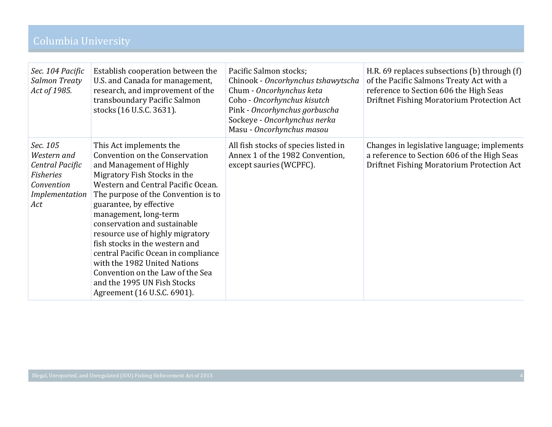| Sec. 104 Pacific<br>Salmon Treaty<br>Act of 1985.                                                     | Establish cooperation between the<br>U.S. and Canada for management,<br>research, and improvement of the<br>transboundary Pacific Salmon<br>stocks (16 U.S.C. 3631).                                                                                                                                                                                                                                                                                                                                                                  | Pacific Salmon stocks;<br>Chinook - Oncorhynchus tshawytscha<br>Chum - Oncorhynchus keta<br>Coho - Oncorhynchus kisutch<br>Pink - Oncorhynchus gorbuscha<br>Sockeye - Oncorhynchus nerka<br>Masu - Oncorhynchus masou | H.R. 69 replaces subsections (b) through (f)<br>of the Pacific Salmons Treaty Act with a<br>reference to Section 606 the High Seas<br>Driftnet Fishing Moratorium Protection Act |
|-------------------------------------------------------------------------------------------------------|---------------------------------------------------------------------------------------------------------------------------------------------------------------------------------------------------------------------------------------------------------------------------------------------------------------------------------------------------------------------------------------------------------------------------------------------------------------------------------------------------------------------------------------|-----------------------------------------------------------------------------------------------------------------------------------------------------------------------------------------------------------------------|----------------------------------------------------------------------------------------------------------------------------------------------------------------------------------|
| Sec. 105<br>Western and<br>Central Pacific<br><b>Fisheries</b><br>Convention<br>Implementation<br>Act | This Act implements the<br>Convention on the Conservation<br>and Management of Highly<br>Migratory Fish Stocks in the<br>Western and Central Pacific Ocean.<br>The purpose of the Convention is to<br>guarantee, by effective<br>management, long-term<br>conservation and sustainable<br>resource use of highly migratory<br>fish stocks in the western and<br>central Pacific Ocean in compliance<br>with the 1982 United Nations<br>Convention on the Law of the Sea<br>and the 1995 UN Fish Stocks<br>Agreement (16 U.S.C. 6901). | All fish stocks of species listed in<br>Annex 1 of the 1982 Convention,<br>except sauries (WCPFC).                                                                                                                    | Changes in legislative language; implements<br>a reference to Section 606 of the High Seas<br>Driftnet Fishing Moratorium Protection Act                                         |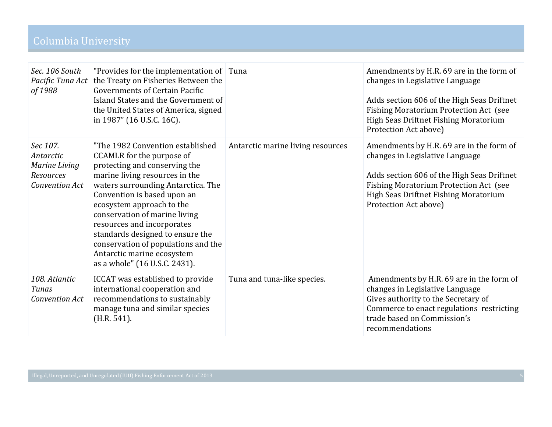| Sec. 106 South<br>Pacific Tuna Act<br>of 1988                                | "Provides for the implementation of $ $ Tuna<br>the Treaty on Fisheries Between the<br><b>Governments of Certain Pacific</b><br>Island States and the Government of<br>the United States of America, signed<br>in 1987" (16 U.S.C. 16C).                                                                                                                                                                                                    |                                   | Amendments by H.R. 69 are in the form of<br>changes in Legislative Language<br>Adds section 606 of the High Seas Driftnet<br><b>Fishing Moratorium Protection Act (see</b><br>High Seas Driftnet Fishing Moratorium<br>Protection Act above) |
|------------------------------------------------------------------------------|---------------------------------------------------------------------------------------------------------------------------------------------------------------------------------------------------------------------------------------------------------------------------------------------------------------------------------------------------------------------------------------------------------------------------------------------|-----------------------------------|----------------------------------------------------------------------------------------------------------------------------------------------------------------------------------------------------------------------------------------------|
| Sec 107.<br>Antarctic<br><b>Marine Living</b><br>Resources<br>Convention Act | "The 1982 Convention established<br>CCAMLR for the purpose of<br>protecting and conserving the<br>marine living resources in the<br>waters surrounding Antarctica. The<br>Convention is based upon an<br>ecosystem approach to the<br>conservation of marine living<br>resources and incorporates<br>standards designed to ensure the<br>conservation of populations and the<br>Antarctic marine ecosystem<br>as a whole" (16 U.S.C. 2431). | Antarctic marine living resources | Amendments by H.R. 69 are in the form of<br>changes in Legislative Language<br>Adds section 606 of the High Seas Driftnet<br><b>Fishing Moratorium Protection Act (see</b><br>High Seas Driftnet Fishing Moratorium<br>Protection Act above) |
| 108. Atlantic<br>Tunas<br>Convention Act                                     | ICCAT was established to provide<br>international cooperation and<br>recommendations to sustainably<br>manage tuna and similar species<br>(H.R. 541).                                                                                                                                                                                                                                                                                       | Tuna and tuna-like species.       | Amendments by H.R. 69 are in the form of<br>changes in Legislative Language<br>Gives authority to the Secretary of<br>Commerce to enact regulations restricting<br>trade based on Commission's<br>recommendations                            |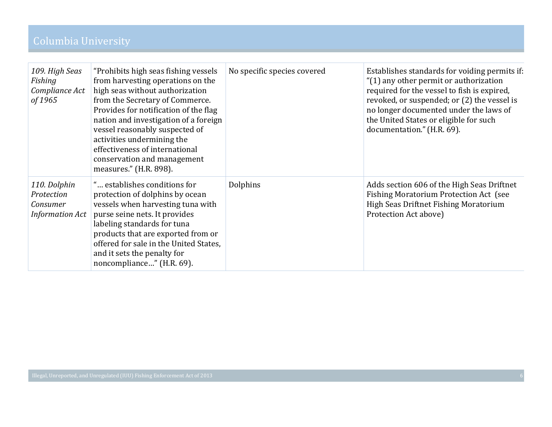| 109. High Seas<br>Fishing<br>Compliance Act<br>of 1965           | "Prohibits high seas fishing vessels<br>from harvesting operations on the<br>high seas without authorization<br>from the Secretary of Commerce.<br>Provides for notification of the flag<br>nation and investigation of a foreign<br>vessel reasonably suspected of<br>activities undermining the<br>effectiveness of international<br>conservation and management<br>measures." (H.R. 898). | No specific species covered | Establishes standards for voiding permits if:<br>"(1) any other permit or authorization<br>required for the vessel to fish is expired,<br>revoked, or suspended; or (2) the vessel is<br>no longer documented under the laws of<br>the United States or eligible for such<br>documentation." (H.R. 69). |
|------------------------------------------------------------------|----------------------------------------------------------------------------------------------------------------------------------------------------------------------------------------------------------------------------------------------------------------------------------------------------------------------------------------------------------------------------------------------|-----------------------------|---------------------------------------------------------------------------------------------------------------------------------------------------------------------------------------------------------------------------------------------------------------------------------------------------------|
| 110. Dolphin<br>Protection<br>Consumer<br><b>Information Act</b> | " establishes conditions for<br>protection of dolphins by ocean<br>vessels when harvesting tuna with<br>purse seine nets. It provides<br>labeling standards for tuna<br>products that are exported from or<br>offered for sale in the United States,<br>and it sets the penalty for<br>noncompliance" (H.R. 69).                                                                             | Dolphins                    | Adds section 606 of the High Seas Driftnet<br>Fishing Moratorium Protection Act (see<br>High Seas Driftnet Fishing Moratorium<br>Protection Act above)                                                                                                                                                  |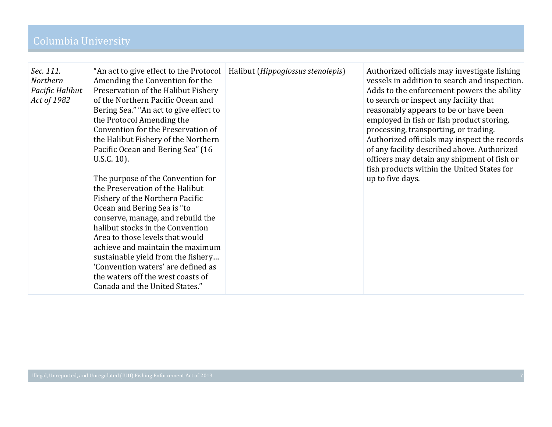| Sec. 111.<br>Northern<br>Pacific Halibut<br>Act of 1982 | "An act to give effect to the Protocol   Halibut ( <i>Hippoglossus stenolepis</i> )<br>Amending the Convention for the<br>Preservation of the Halibut Fishery<br>of the Northern Pacific Ocean and<br>Bering Sea." "An act to give effect to<br>the Protocol Amending the<br>Convention for the Preservation of<br>the Halibut Fishery of the Northern<br>Pacific Ocean and Bering Sea" (16<br>U.S.C. 10).<br>The purpose of the Convention for<br>the Preservation of the Halibut<br>Fishery of the Northern Pacific<br>Ocean and Bering Sea is "to<br>conserve, manage, and rebuild the<br>halibut stocks in the Convention<br>Area to those levels that would<br>achieve and maintain the maximum<br>sustainable yield from the fishery<br>'Convention waters' are defined as<br>the waters off the west coasts of<br>Canada and the United States." |  | Authorized officials may investigate fishing<br>vessels in addition to search and inspection.<br>Adds to the enforcement powers the ability<br>to search or inspect any facility that<br>reasonably appears to be or have been<br>employed in fish or fish product storing,<br>processing, transporting, or trading.<br>Authorized officials may inspect the records<br>of any facility described above. Authorized<br>officers may detain any shipment of fish or<br>fish products within the United States for<br>up to five days. |
|---------------------------------------------------------|---------------------------------------------------------------------------------------------------------------------------------------------------------------------------------------------------------------------------------------------------------------------------------------------------------------------------------------------------------------------------------------------------------------------------------------------------------------------------------------------------------------------------------------------------------------------------------------------------------------------------------------------------------------------------------------------------------------------------------------------------------------------------------------------------------------------------------------------------------|--|--------------------------------------------------------------------------------------------------------------------------------------------------------------------------------------------------------------------------------------------------------------------------------------------------------------------------------------------------------------------------------------------------------------------------------------------------------------------------------------------------------------------------------------|
|---------------------------------------------------------|---------------------------------------------------------------------------------------------------------------------------------------------------------------------------------------------------------------------------------------------------------------------------------------------------------------------------------------------------------------------------------------------------------------------------------------------------------------------------------------------------------------------------------------------------------------------------------------------------------------------------------------------------------------------------------------------------------------------------------------------------------------------------------------------------------------------------------------------------------|--|--------------------------------------------------------------------------------------------------------------------------------------------------------------------------------------------------------------------------------------------------------------------------------------------------------------------------------------------------------------------------------------------------------------------------------------------------------------------------------------------------------------------------------------|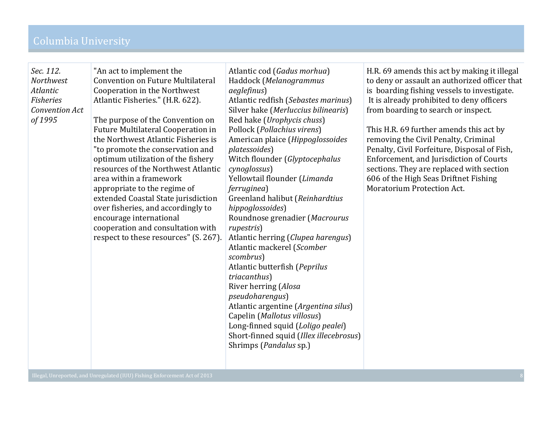|  | Sec. 112.<br><b>Northwest</b><br>Atlantic<br><b>Fisheries</b><br>Convention Act<br>of 1995 | "An act to implement the<br><b>Convention on Future Multilateral</b><br>Cooperation in the Northwest<br>Atlantic Fisheries." (H.R. 622).<br>The purpose of the Convention on<br><b>Future Multilateral Cooperation in</b><br>the Northwest Atlantic Fisheries is<br>"to promote the conservation and<br>optimum utilization of the fishery<br>resources of the Northwest Atlantic<br>area within a framework<br>appropriate to the regime of<br>extended Coastal State jurisdiction<br>over fisheries, and accordingly to<br>encourage international<br>cooperation and consultation with<br>respect to these resources" (S. 267). | Atlantic cod (Gadus morhua)<br>Haddock (Melanogrammus<br><i>aeglefinus</i> )<br>Atlantic redfish (Sebastes marinus)<br>Silver hake (Merluccius bilinearis)<br>Red hake (Urophycis chuss)<br>Pollock (Pollachius virens)<br>American plaice (Hippoglossoides<br>platessoides)<br>Witch flounder (Glyptocephalus<br>cynoglossus)<br>Yellowtail flounder (Limanda<br><i>ferruginea</i> )<br>Greenland halibut (Reinhardtius<br>hippoglossoides)<br>Roundnose grenadier (Macrourus<br>rupestris)<br>Atlantic herring (Clupea harengus)<br>Atlantic mackerel (Scomber<br>scombrus)<br>Atlantic butterfish (Peprilus<br>triacanthus)<br>River herring (Alosa<br>pseudoharengus)<br>Atlantic argentine (Argentina silus)<br>Capelin (Mallotus villosus)<br>Long-finned squid (Loligo pealei)<br>Short-finned squid (Illex illecebrosus)<br>Shrimps (Pandalus sp.) | H.R. 69 amends this act by making it illegal<br>to deny or assault an authorized officer that<br>is boarding fishing vessels to investigate.<br>It is already prohibited to deny officers<br>from boarding to search or inspect.<br>This H.R. 69 further amends this act by<br>removing the Civil Penalty, Criminal<br>Penalty, Civil Forfeiture, Disposal of Fish,<br>Enforcement, and Jurisdiction of Courts<br>sections. They are replaced with section<br>606 of the High Seas Driftnet Fishing<br>Moratorium Protection Act. |
|--|--------------------------------------------------------------------------------------------|------------------------------------------------------------------------------------------------------------------------------------------------------------------------------------------------------------------------------------------------------------------------------------------------------------------------------------------------------------------------------------------------------------------------------------------------------------------------------------------------------------------------------------------------------------------------------------------------------------------------------------|------------------------------------------------------------------------------------------------------------------------------------------------------------------------------------------------------------------------------------------------------------------------------------------------------------------------------------------------------------------------------------------------------------------------------------------------------------------------------------------------------------------------------------------------------------------------------------------------------------------------------------------------------------------------------------------------------------------------------------------------------------------------------------------------------------------------------------------------------------|-----------------------------------------------------------------------------------------------------------------------------------------------------------------------------------------------------------------------------------------------------------------------------------------------------------------------------------------------------------------------------------------------------------------------------------------------------------------------------------------------------------------------------------|
|--|--------------------------------------------------------------------------------------------|------------------------------------------------------------------------------------------------------------------------------------------------------------------------------------------------------------------------------------------------------------------------------------------------------------------------------------------------------------------------------------------------------------------------------------------------------------------------------------------------------------------------------------------------------------------------------------------------------------------------------------|------------------------------------------------------------------------------------------------------------------------------------------------------------------------------------------------------------------------------------------------------------------------------------------------------------------------------------------------------------------------------------------------------------------------------------------------------------------------------------------------------------------------------------------------------------------------------------------------------------------------------------------------------------------------------------------------------------------------------------------------------------------------------------------------------------------------------------------------------------|-----------------------------------------------------------------------------------------------------------------------------------------------------------------------------------------------------------------------------------------------------------------------------------------------------------------------------------------------------------------------------------------------------------------------------------------------------------------------------------------------------------------------------------|